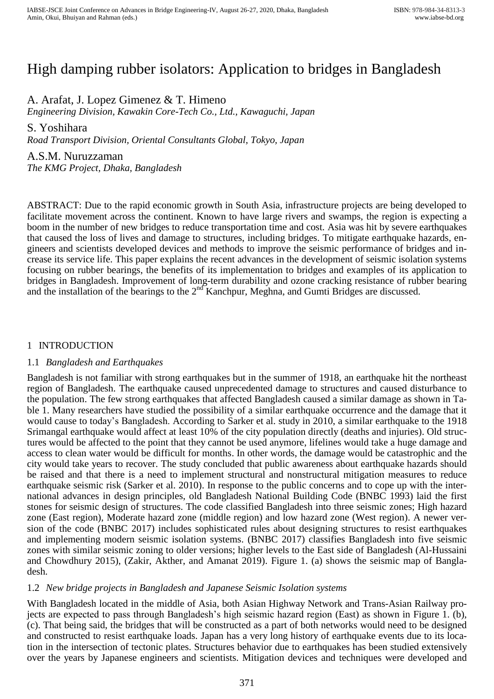# High damping rubber isolators: Application to bridges in Bangladesh

A. Arafat, J. Lopez Gimenez & T. Himeno

*Engineering Division, Kawakin Core-Tech Co., Ltd., Kawaguchi, Japan*

S. Yoshihara

*Road Transport Division, Oriental Consultants Global, Tokyo, Japan*

A.S.M. Nuruzzaman *The KMG Project, Dhaka, Bangladesh*

ABSTRACT: Due to the rapid economic growth in South Asia, infrastructure projects are being developed to facilitate movement across the continent. Known to have large rivers and swamps, the region is expecting a boom in the number of new bridges to reduce transportation time and cost. Asia was hit by severe earthquakes that caused the loss of lives and damage to structures, including bridges. To mitigate earthquake hazards, engineers and scientists developed devices and methods to improve the seismic performance of bridges and increase its service life. This paper explains the recent advances in the development of seismic isolation systems focusing on rubber bearings, the benefits of its implementation to bridges and examples of its application to bridges in Bangladesh. Improvement of long-term durability and ozone cracking resistance of rubber bearing and the installation of the bearings to the  $2<sup>nd</sup>$  Kanchpur, Meghna, and Gumti Bridges are discussed.

# 1 INTRODUCTION

## 1.1 *Bangladesh and Earthquakes*

Bangladesh is not familiar with strong earthquakes but in the summer of 1918, an earthquake hit the northeast region of Bangladesh. The earthquake caused unprecedented damage to structures and caused disturbance to the population. The few strong earthquakes that affected Bangladesh caused a similar damage as shown in [Ta](#page-1-0)[ble 1.](#page-1-0) Many researchers have studied the possibility of a similar earthquake occurrence and the damage that it would cause to today's Bangladesh. According to Sarker et al. study in 2010, a similar earthquake to the 1918 Srimangal earthquake would affect at least 10% of the city population directly (deaths and injuries). Old structures would be affected to the point that they cannot be used anymore, lifelines would take a huge damage and access to clean water would be difficult for months. In other words, the damage would be catastrophic and the city would take years to recover. The study concluded that public awareness about earthquake hazards should be raised and that there is a need to implement structural and nonstructural mitigation measures to reduce earthquake seismic risk (Sarker et al. 2010). In response to the public concerns and to cope up with the international advances in design principles, old Bangladesh National Building Code (BNBC 1993) laid the first stones for seismic design of structures. The code classified Bangladesh into three seismic zones; High hazard zone (East region), Moderate hazard zone (middle region) and low hazard zone (West region). A newer version of the code (BNBC 2017) includes sophisticated rules about designing structures to resist earthquakes and implementing modern seismic isolation systems. (BNBC 2017) classifies Bangladesh into five seismic zones with similar seismic zoning to older versions; higher levels to the East side of Bangladesh (Al-Hussaini and Chowdhury 2015), (Zakir, Akther, and Amanat 2019). [Figure 1.](#page-1-1) (a) shows the seismic map of Bangladesh.

## 1.2 *New bridge projects in Bangladesh and Japanese Seismic Isolation systems*

With Bangladesh located in the middle of Asia, both Asian Highway Network and Trans-Asian Railway projects are expected to pass through Bangladesh's high seismic hazard region (East) as shown in [Figure 1.](#page-1-1) (b), (c). That being said, the bridges that will be constructed as a part of both networks would need to be designed and constructed to resist earthquake loads. Japan has a very long history of earthquake events due to its location in the intersection of tectonic plates. Structures behavior due to earthquakes has been studied extensively over the years by Japanese engineers and scientists. Mitigation devices and techniques were developed and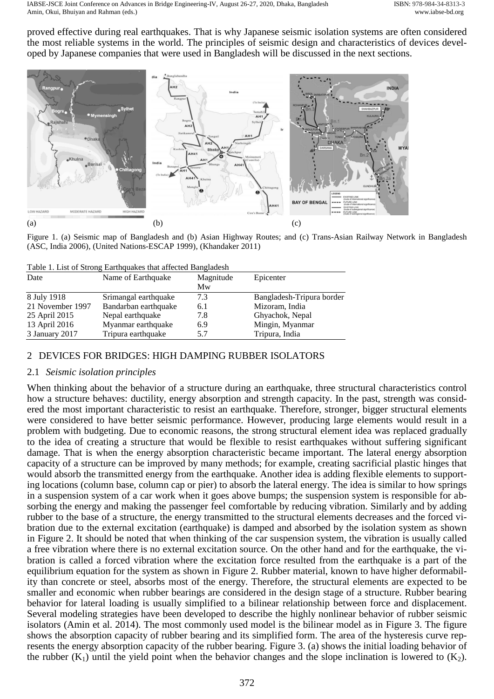proved effective during real earthquakes. That is why Japanese seismic isolation systems are often considered the most reliable systems in the world. The principles of seismic design and characteristics of devices developed by Japanese companies that were used in Bangladesh will be discussed in the next sections.



<span id="page-1-1"></span>Figure 1. (a) Seismic map of Bangladesh and (b) Asian Highway Routes; and (c) Trans-Asian Railway Network in Bangladesh (ASC, India 2006), (United Nations-ESCAP 1999), (Khandaker 2011)

| Date             | Table 1. List of Strong Earlinguakes that affected Bangfadesh<br>Name of Earthquake | Magnitude<br>Mw | Epicenter                 |
|------------------|-------------------------------------------------------------------------------------|-----------------|---------------------------|
| 8 July 1918      | Srimangal earthquake                                                                | 7.3             | Bangladesh-Tripura border |
| 21 November 1997 | Bandarban earthquake                                                                | 6.1             | Mizoram, India            |
| 25 April 2015    | Nepal earthquake                                                                    | 7.8             | Ghyachok, Nepal           |
| 13 April 2016    | Myanmar earthquake                                                                  | 6.9             | Mingin, Myanmar           |
| 3 January 2017   | Tripura earthquake                                                                  | 5.7             | Tripura, India            |

<span id="page-1-0"></span>List of Strong Earthquakes that affected Bangladesh

# 2 DEVICES FOR BRIDGES: HIGH DAMPING RUBBER ISOLATORS

## 2.1 *Seismic isolation principles*

When thinking about the behavior of a structure during an earthquake, three structural characteristics control how a structure behaves: ductility, energy absorption and strength capacity. In the past, strength was considered the most important characteristic to resist an earthquake. Therefore, stronger, bigger structural elements were considered to have better seismic performance. However, producing large elements would result in a problem with budgeting. Due to economic reasons, the strong structural element idea was replaced gradually to the idea of creating a structure that would be flexible to resist earthquakes without suffering significant damage. That is when the energy absorption characteristic became important. The lateral energy absorption capacity of a structure can be improved by many methods; for example, creating sacrificial plastic hinges that would absorb the transmitted energy from the earthquake. Another idea is adding flexible elements to supporting locations (column base, column cap or pier) to absorb the lateral energy. The idea is similar to how springs in a suspension system of a car work when it goes above bumps; the suspension system is responsible for absorbing the energy and making the passenger feel comfortable by reducing vibration. Similarly and by adding rubber to the base of a structure, the energy transmitted to the structural elements decreases and the forced vibration due to the external excitation (earthquake) is damped and absorbed by the isolation system as shown in [Figure 2.](#page-2-0) It should be noted that when thinking of the car suspension system, the vibration is usually called a free vibration where there is no external excitation source. On the other hand and for the earthquake, the vibration is called a forced vibration where the excitation force resulted from the earthquake is a part of the equilibrium equation for the system as shown in [Figure 2.](#page-2-0) Rubber material, known to have higher deformability than concrete or steel, absorbs most of the energy. Therefore, the structural elements are expected to be smaller and economic when rubber bearings are considered in the design stage of a structure. Rubber bearing behavior for lateral loading is usually simplified to a bilinear relationship between force and displacement. Several modeling strategies have been developed to describe the highly nonlinear behavior of rubber seismic isolators (Amin et al. 2014). The most commonly used model is the bilinear model as in [Figure 3.](#page-2-1) The figure shows the absorption capacity of rubber bearing and its simplified form. The area of the hysteresis curve represents the energy absorption capacity of the rubber bearing. [Figure 3.](#page-2-1) (a) shows the initial loading behavior of the rubber  $(K_1)$  until the yield point when the behavior changes and the slope inclination is lowered to  $(K_2)$ .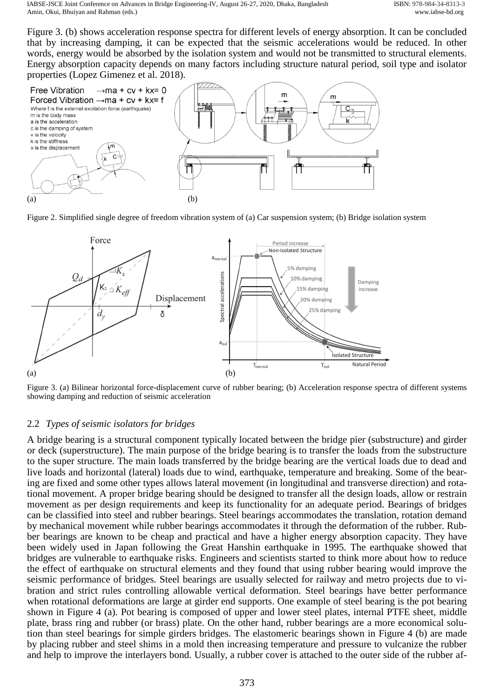[Figure 3.](#page-2-1) (b) shows acceleration response spectra for different levels of energy absorption. It can be concluded that by increasing damping, it can be expected that the seismic accelerations would be reduced. In other words, energy would be absorbed by the isolation system and would not be transmitted to structural elements. Energy absorption capacity depends on many factors including structure natural period, soil type and isolator properties (Lopez Gimenez et al. 2018).



<span id="page-2-0"></span>Figure 2. Simplified single degree of freedom vibration system of (a) Car suspension system; (b) Bridge isolation system



<span id="page-2-1"></span>Figure 3. (a) Bilinear horizontal force-displacement curve of rubber bearing; (b) Acceleration response spectra of different systems showing damping and reduction of seismic acceleration

## 2.2 *Types of seismic isolators for bridges*

A bridge bearing is a structural component typically located between the bridge pier (substructure) and girder or deck (superstructure). The main purpose of the bridge bearing is to transfer the loads from the substructure to the super structure. The main loads transferred by the bridge bearing are the vertical loads due to dead and live loads and horizontal (lateral) loads due to wind, earthquake, temperature and breaking. Some of the bearing are fixed and some other types allows lateral movement (in longitudinal and transverse direction) and rotational movement. A proper bridge bearing should be designed to transfer all the design loads, allow or restrain movement as per design requirements and keep its functionality for an adequate period. Bearings of bridges can be classified into steel and rubber bearings. Steel bearings accommodates the translation, rotation demand by mechanical movement while rubber bearings accommodates it through the deformation of the rubber. Rubber bearings are known to be cheap and practical and have a higher energy absorption capacity. They have been widely used in Japan following the Great Hanshin earthquake in 1995. The earthquake showed that bridges are vulnerable to earthquake risks. Engineers and scientists started to think more about how to reduce the effect of earthquake on structural elements and they found that using rubber bearing would improve the seismic performance of bridges. Steel bearings are usually selected for railway and metro projects due to vibration and strict rules controlling allowable vertical deformation. Steel bearings have better performance when rotational deformations are large at girder end supports. One example of steel bearing is the pot bearing shown in [Figure 4](#page-3-0) (a). Pot bearing is composed of upper and lower steel plates, internal PTFE sheet, middle plate, brass ring and rubber (or brass) plate. On the other hand, rubber bearings are a more economical solution than steel bearings for simple girders bridges. The elastomeric bearings shown in [Figure 4](#page-3-0) (b) are made by placing rubber and steel shims in a mold then increasing temperature and pressure to vulcanize the rubber and help to improve the interlayers bond. Usually, a rubber cover is attached to the outer side of the rubber af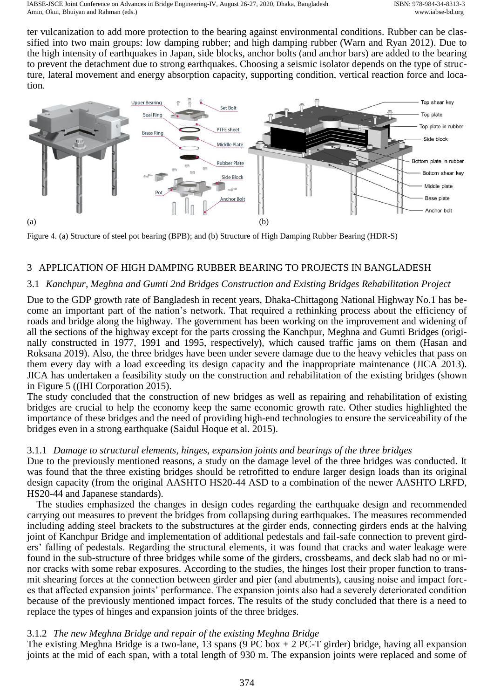ter vulcanization to add more protection to the bearing against environmental conditions. Rubber can be classified into two main groups: low damping rubber; and high damping rubber (Warn and Ryan 2012). Due to the high intensity of earthquakes in Japan, side blocks, anchor bolts (and anchor bars) are added to the bearing to prevent the detachment due to strong earthquakes. Choosing a seismic isolator depends on the type of structure, lateral movement and energy absorption capacity, supporting condition, vertical reaction force and location.



<span id="page-3-0"></span>Figure 4. (a) Structure of steel pot bearing (BPB); and (b) Structure of High Damping Rubber Bearing (HDR-S)

# 3 APPLICATION OF HIGH DAMPING RUBBER BEARING TO PROJECTS IN BANGLADESH

# 3.1 *Kanchpur, Meghna and Gumti 2nd Bridges Construction and Existing Bridges Rehabilitation Project*

Due to the GDP growth rate of Bangladesh in recent years, Dhaka-Chittagong National Highway No.1 has become an important part of the nation's network. That required a rethinking process about the efficiency of roads and bridge along the highway. The government has been working on the improvement and widening of all the sections of the highway except for the parts crossing the Kanchpur, Meghna and Gumti Bridges (originally constructed in 1977, 1991 and 1995, respectively), which caused traffic jams on them (Hasan and Roksana 2019). Also, the three bridges have been under severe damage due to the heavy vehicles that pass on them every day with a load exceeding its design capacity and the inappropriate maintenance (JICA 2013). JICA has undertaken a feasibility study on the construction and rehabilitation of the existing bridges (shown in [Figure 5](#page-4-0) ((IHI Corporation 2015).

The study concluded that the construction of new bridges as well as repairing and rehabilitation of existing bridges are crucial to help the economy keep the same economic growth rate. Other studies highlighted the importance of these bridges and the need of providing high-end technologies to ensure the serviceability of the bridges even in a strong earthquake (Saidul Hoque et al. 2015).

## 3.1.1 *Damage to structural elements, hinges, expansion joints and bearings of the three bridges*

Due to the previously mentioned reasons, a study on the damage level of the three bridges was conducted. It was found that the three existing bridges should be retrofitted to endure larger design loads than its original design capacity (from the original AASHTO HS20-44 ASD to a combination of the newer AASHTO LRFD, HS20-44 and Japanese standards).

The studies emphasized the changes in design codes regarding the earthquake design and recommended carrying out measures to prevent the bridges from collapsing during earthquakes. The measures recommended including adding steel brackets to the substructures at the girder ends, connecting girders ends at the halving joint of Kanchpur Bridge and implementation of additional pedestals and fail-safe connection to prevent girders' falling of pedestals. Regarding the structural elements, it was found that cracks and water leakage were found in the sub-structure of three bridges while some of the girders, crossbeams, and deck slab had no or minor cracks with some rebar exposures. According to the studies, the hinges lost their proper function to transmit shearing forces at the connection between girder and pier (and abutments), causing noise and impact forces that affected expansion joints' performance. The expansion joints also had a severely deteriorated condition because of the previously mentioned impact forces. The results of the study concluded that there is a need to replace the types of hinges and expansion joints of the three bridges.

## 3.1.2 *The new Meghna Bridge and repair of the existing Meghna Bridge*

The existing Meghna Bridge is a two-lane, 13 spans (9 PC box  $+ 2$  PC-T girder) bridge, having all expansion joints at the mid of each span, with a total length of 930 m. The expansion joints were replaced and some of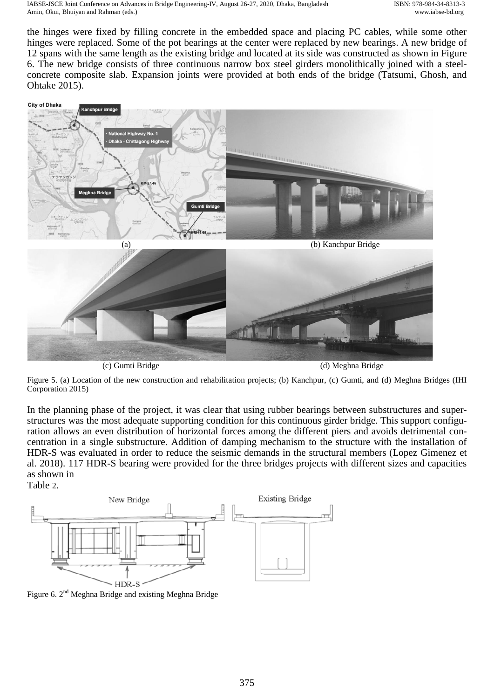the hinges were fixed by filling concrete in the embedded space and placing PC cables, while some other hinges were replaced. Some of the pot bearings at the center were replaced by new bearings. A new bridge of 12 spans with the same length as the existing bridge and located at its side was constructed as shown in [Figure](#page-4-1)  [6.](#page-4-1) The new bridge consists of three continuous narrow box steel girders monolithically joined with a steelconcrete composite slab. Expansion joints were provided at both ends of the bridge (Tatsumi, Ghosh, and Ohtake 2015).



(c) Gumti Bridge (d) Meghna Bridge

<span id="page-4-0"></span>Figure 5. (a) Location of the new construction and rehabilitation projects; (b) Kanchpur, (c) Gumti, and (d) Meghna Bridges (IHI Corporation 2015)

In the planning phase of the project, it was clear that using rubber bearings between substructures and superstructures was the most adequate supporting condition for this continuous girder bridge. This support configuration allows an even distribution of horizontal forces among the different piers and avoids detrimental concentration in a single substructure. Addition of damping mechanism to the structure with the installation of HDR-S was evaluated in order to reduce the seismic demands in the structural members (Lopez Gimenez et al. 2018). 117 HDR-S bearing were provided for the three bridges projects with different sizes and capacities as shown i[n](#page-5-0) 

[Table](#page-5-0) 2.



<span id="page-4-1"></span>Figure 6. 2<sup>nd</sup> Meghna Bridge and existing Meghna Bridge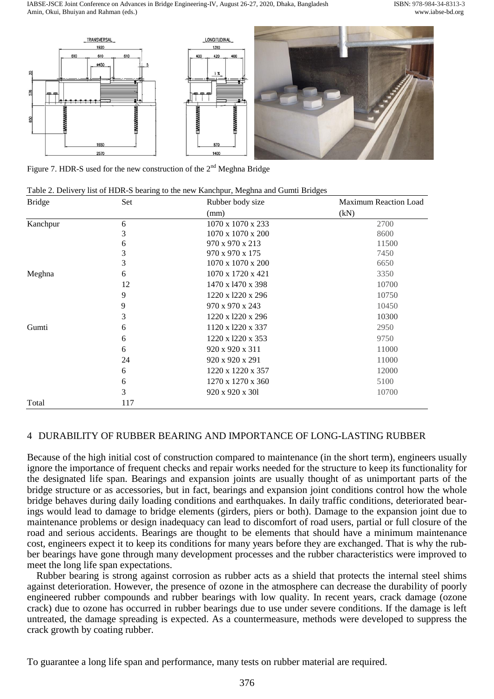IABSE-JSCE Joint Conference on Advances in Bridge Engineering-IV, August 26-27, 2020, Dhaka, Bangladesh ISBN: 978-984-34-8313-3 Amin, Okui, Bhuiyan and Rahman (eds.) www.iabse-bd.org



<span id="page-5-0"></span>Figure 7. HDR-S used for the new construction of the  $2<sup>nd</sup>$  Meghna Bridge

| Table 2. Delivery list of HDR-S bearing to the new Kanchpur, Meghna and Gumti Bridges |  |  |
|---------------------------------------------------------------------------------------|--|--|
|                                                                                       |  |  |

| <b>Bridge</b> | Set | Rubber body size  | <b>Maximum Reaction Load</b> |  |
|---------------|-----|-------------------|------------------------------|--|
|               |     | (mm)              | (kN)                         |  |
| Kanchpur      | 6   | 1070 x 1070 x 233 | 2700                         |  |
|               | 3   | 1070 x 1070 x 200 | 8600                         |  |
|               | 6   | 970 x 970 x 213   | 11500                        |  |
|               | 3   | 970 x 970 x 175   | 7450                         |  |
|               | 3   | 1070 x 1070 x 200 | 6650                         |  |
| Meghna        | 6   | 1070 x 1720 x 421 | 3350                         |  |
|               | 12  | 1470 x 1470 x 398 | 10700                        |  |
|               | 9   | 1220 x 1220 x 296 | 10750                        |  |
|               | 9   | 970 x 970 x 243   | 10450                        |  |
|               | 3   | 1220 x 1220 x 296 | 10300                        |  |
| Gumti         | 6   | 1120 x 1220 x 337 | 2950                         |  |
|               | 6   | 1220 x 1220 x 353 | 9750                         |  |
|               | 6   | 920 x 920 x 311   | 11000                        |  |
|               | 24  | 920 x 920 x 291   | 11000                        |  |
|               | 6   | 1220 x 1220 x 357 | 12000                        |  |
|               | 6   | 1270 x 1270 x 360 | 5100                         |  |
|               | 3   | 920 x 920 x 301   | 10700                        |  |
| Total         | 117 |                   |                              |  |

# 4 DURABILITY OF RUBBER BEARING AND IMPORTANCE OF LONG-LASTING RUBBER

Because of the high initial cost of construction compared to maintenance (in the short term), engineers usually ignore the importance of frequent checks and repair works needed for the structure to keep its functionality for the designated life span. Bearings and expansion joints are usually thought of as unimportant parts of the bridge structure or as accessories, but in fact, bearings and expansion joint conditions control how the whole bridge behaves during daily loading conditions and earthquakes. In daily traffic conditions, deteriorated bearings would lead to damage to bridge elements (girders, piers or both). Damage to the expansion joint due to maintenance problems or design inadequacy can lead to discomfort of road users, partial or full closure of the road and serious accidents. Bearings are thought to be elements that should have a minimum maintenance cost, engineers expect it to keep its conditions for many years before they are exchanged. That is why the rubber bearings have gone through many development processes and the rubber characteristics were improved to meet the long life span expectations.

Rubber bearing is strong against corrosion as rubber acts as a shield that protects the internal steel shims against deterioration. However, the presence of ozone in the atmosphere can decrease the durability of poorly engineered rubber compounds and rubber bearings with low quality. In recent years, crack damage (ozone crack) due to ozone has occurred in rubber bearings due to use under severe conditions. If the damage is left untreated, the damage spreading is expected. As a countermeasure, methods were developed to suppress the crack growth by coating rubber.

To guarantee a long life span and performance, many tests on rubber material are required.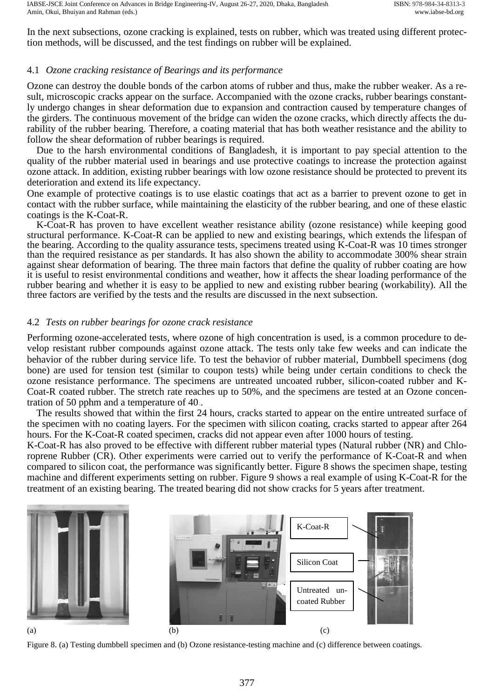IABSE-JSCE Joint Conference on Advances in Bridge Engineering-IV, August 26-27, 2020, Dhaka, Bangladesh ISBN: 978-984-34-8313-3 Amin, Okui, Bhuiyan and Rahman (eds.) www.iabse-bd.org

In the next subsections, ozone cracking is explained, tests on rubber, which was treated using different protection methods, will be discussed, and the test findings on rubber will be explained.

## 4.1 *Ozone cracking resistance of Bearings and its performance*

Ozone can destroy the double bonds of the carbon atoms of rubber and thus, make the rubber weaker. As a result, microscopic cracks appear on the surface. Accompanied with the ozone cracks, rubber bearings constantly undergo changes in shear deformation due to expansion and contraction caused by temperature changes of the girders. The continuous movement of the bridge can widen the ozone cracks, which directly affects the durability of the rubber bearing. Therefore, a coating material that has both weather resistance and the ability to follow the shear deformation of rubber bearings is required.

Due to the harsh environmental conditions of Bangladesh, it is important to pay special attention to the quality of the rubber material used in bearings and use protective coatings to increase the protection against ozone attack. In addition, existing rubber bearings with low ozone resistance should be protected to prevent its deterioration and extend its life expectancy.

One example of protective coatings is to use elastic coatings that act as a barrier to prevent ozone to get in contact with the rubber surface, while maintaining the elasticity of the rubber bearing, and one of these elastic coatings is the K-Coat-R.

K-Coat-R has proven to have excellent weather resistance ability (ozone resistance) while keeping good structural performance. K-Coat-R can be applied to new and existing bearings, which extends the lifespan of the bearing. According to the quality assurance tests, specimens treated using K-Coat-R was 10 times stronger than the required resistance as per standards. It has also shown the ability to accommodate 300% shear strain against shear deformation of bearing. The three main factors that define the quality of rubber coating are how it is useful to resist environmental conditions and weather, how it affects the shear loading performance of the rubber bearing and whether it is easy to be applied to new and existing rubber bearing (workability). All the three factors are verified by the tests and the results are discussed in the next subsection.

# 4.2 *Tests on rubber bearings for ozone crack resistance*

Performing ozone-accelerated tests, where ozone of high concentration is used, is a common procedure to develop resistant rubber compounds against ozone attack. The tests only take few weeks and can indicate the behavior of the rubber during service life. To test the behavior of rubber material, Dumbbell specimens (dog bone) are used for tension test (similar to coupon tests) while being under certain conditions to check the ozone resistance performance. The specimens are untreated uncoated rubber, silicon-coated rubber and K-Coat-R coated rubber. The stretch rate reaches up to 50%, and the specimens are tested at an Ozone concentration of 50 pphm and a temperature of  $40<sub>∞</sub>$ .

The results showed that within the first 24 hours, cracks started to appear on the entire untreated surface of the specimen with no coating layers. For the specimen with silicon coating, cracks started to appear after 264 hours. For the K-Coat-R coated specimen, cracks did not appear even after 1000 hours of testing.

K-Coat-R has also proved to be effective with different rubber material types (Natural rubber (NR) and Chloroprene Rubber (CR). Other experiments were carried out to verify the performance of K-Coat-R and when compared to silicon coat, the performance was significantly better. [Figure 8](#page-6-0) shows the specimen shape, testing machine and different experiments setting on rubber. [Figure 9](#page-7-0) shows a real example of using K-Coat-R for the treatment of an existing bearing. The treated bearing did not show cracks for 5 years after treatment.



<span id="page-6-0"></span>